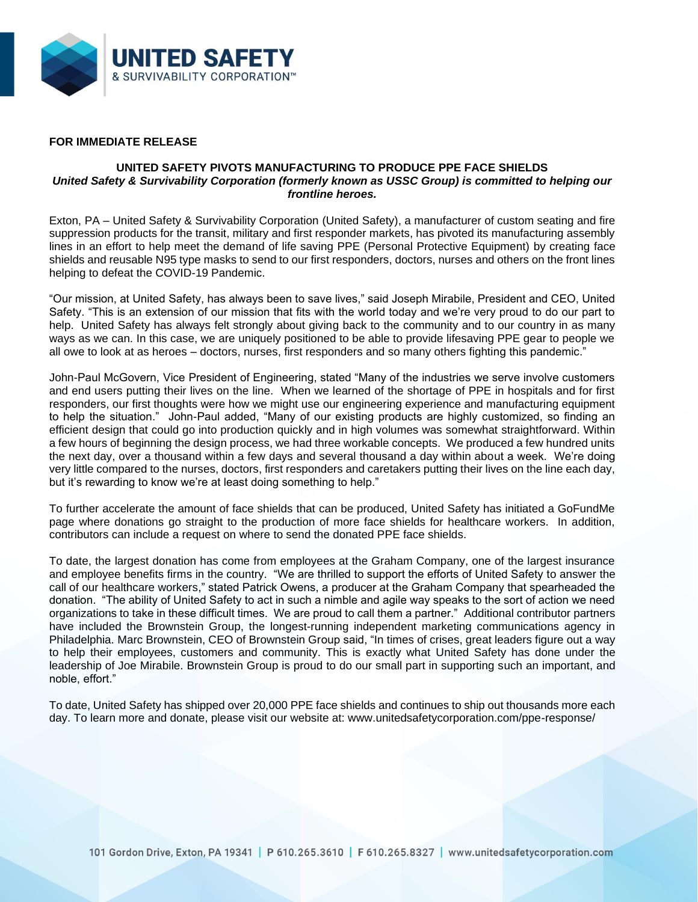

## **FOR IMMEDIATE RELEASE**

## **UNITED SAFETY PIVOTS MANUFACTURING TO PRODUCE PPE FACE SHIELDS** *United Safety & Survivability Corporation (formerly known as USSC Group) is committed to helping our frontline heroes.*

Exton, PA – United Safety & Survivability Corporation (United Safety), a manufacturer of custom seating and fire suppression products for the transit, military and first responder markets, has pivoted its manufacturing assembly lines in an effort to help meet the demand of life saving PPE (Personal Protective Equipment) by creating face shields and reusable N95 type masks to send to our first responders, doctors, nurses and others on the front lines helping to defeat the COVID-19 Pandemic.

"Our mission, at United Safety, has always been to save lives," said Joseph Mirabile, President and CEO, United Safety. "This is an extension of our mission that fits with the world today and we're very proud to do our part to help. United Safety has always felt strongly about giving back to the community and to our country in as many ways as we can. In this case, we are uniquely positioned to be able to provide lifesaving PPE gear to people we all owe to look at as heroes – doctors, nurses, first responders and so many others fighting this pandemic."

John-Paul McGovern, Vice President of Engineering, stated "Many of the industries we serve involve customers and end users putting their lives on the line. When we learned of the shortage of PPE in hospitals and for first responders, our first thoughts were how we might use our engineering experience and manufacturing equipment to help the situation." John-Paul added, "Many of our existing products are highly customized, so finding an efficient design that could go into production quickly and in high volumes was somewhat straightforward. Within a few hours of beginning the design process, we had three workable concepts. We produced a few hundred units the next day, over a thousand within a few days and several thousand a day within about a week. We're doing very little compared to the nurses, doctors, first responders and caretakers putting their lives on the line each day, but it's rewarding to know we're at least doing something to help."

To further accelerate the amount of face shields that can be produced, United Safety has initiated a GoFundMe page where donations go straight to the production of more face shields for healthcare workers. In addition, contributors can include a request on where to send the donated PPE face shields.

To date, the largest donation has come from employees at the Graham Company, one of the largest insurance and employee benefits firms in the country. "We are thrilled to support the efforts of United Safety to answer the call of our healthcare workers," stated Patrick Owens, a producer at the Graham Company that spearheaded the donation. "The ability of United Safety to act in such a nimble and agile way speaks to the sort of action we need organizations to take in these difficult times. We are proud to call them a partner." Additional contributor partners have included the Brownstein Group, the longest-running independent marketing communications agency in Philadelphia. Marc Brownstein, CEO of Brownstein Group said, "In times of crises, great leaders figure out a way to help their employees, customers and community. This is exactly what United Safety has done under the leadership of Joe Mirabile. Brownstein Group is proud to do our small part in supporting such an important, and noble, effort."

To date, United Safety has shipped over 20,000 PPE face shields and continues to ship out thousands more each day. To learn more and donate, please visit our website at: www.unitedsafetycorporation.com/ppe-response/